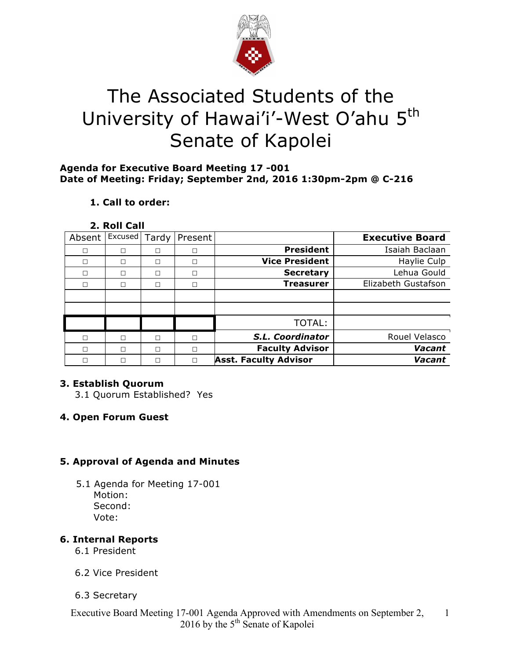

# The Associated Students of the University of Hawai'i'-West O'ahu 5<sup>th</sup> Senate of Kapolei

# **Agenda for Executive Board Meeting 17 -001 Date of Meeting: Friday; September 2nd, 2016 1:30pm-2pm @ C-216**

# **1. Call to order:**

#### **2. Roll Call**

| Absent | Excused | Tardy | Present |                              | <b>Executive Board</b> |
|--------|---------|-------|---------|------------------------------|------------------------|
|        | П       | П     | П       | <b>President</b>             | Isaiah Baclaan         |
|        | П       | □     | П       | <b>Vice President</b>        | Haylie Culp            |
| п      | П       | п     | П       | <b>Secretary</b>             | Lehua Gould            |
| п      | П       | □     | П       | <b>Treasurer</b>             | Elizabeth Gustafson    |
|        |         |       |         |                              |                        |
|        |         |       |         |                              |                        |
|        |         |       |         | TOTAL:                       |                        |
|        | П       | п     | П       | S.L. Coordinator             | Rouel Velasco          |
| п      | П       | П     | П       | <b>Faculty Advisor</b>       | Vacant                 |
|        | П       | Г     | г       | <b>Asst. Faculty Advisor</b> | Vacant                 |

# **3. Establish Quorum**

3.1 Quorum Established? Yes

# **4. Open Forum Guest**

# **5. Approval of Agenda and Minutes**

 5.1 Agenda for Meeting 17-001 Motion: Second: Vote:

# **6. Internal Reports**

- 6.1 President
- 6.2 Vice President
- 6.3 Secretary